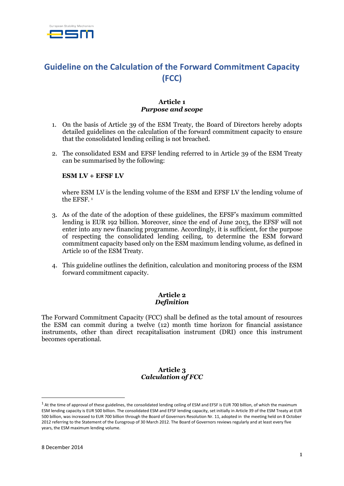

# **Guideline on the Calculation of the Forward Commitment Capacity (FCC)**

### **Article 1** *Purpose and scope*

- 1. On the basis of Article 39 of the ESM Treaty, the Board of Directors hereby adopts detailed guidelines on the calculation of the forward commitment capacity to ensure that the consolidated lending ceiling is not breached.
- 2. The consolidated ESM and EFSF lending referred to in Article 39 of the ESM Treaty can be summarised by the following:

#### **ESM LV + EFSF LV**

where ESM LV is the lending volume of the ESM and EFSF LV the lending volume of the EFSF. 1

- 3. As of the date of the adoption of these guidelines, the EFSF's maximum committed lending is EUR 192 billion. Moreover, since the end of June 2013, the EFSF will not enter into any new financing programme. Accordingly, it is sufficient, for the purpose of respecting the consolidated lending ceiling, to determine the ESM forward commitment capacity based only on the ESM maximum lending volume, as defined in Article 10 of the ESM Treaty.
- 4. This guideline outlines the definition, calculation and monitoring process of the ESM forward commitment capacity.

#### **Article 2** *Definition*

The Forward Commitment Capacity (FCC) shall be defined as the total amount of resources the ESM can commit during a twelve (12) month time horizon for financial assistance instruments, other than direct recapitalisation instrument (DRI) once this instrument becomes operational.

#### **Article 3** *Calculation of FCC*

1

 $1$  At the time of approval of these guidelines, the consolidated lending ceiling of ESM and EFSF is EUR 700 billion, of which the maximum ESM lending capacity is EUR 500 billion. The consolidated ESM and EFSF lending capacity, set initially in Article 39 of the ESM Treaty at EUR 500 billion, was increased to EUR 700 billion through the Board of Governors Resolution Nr. 11, adopted in the meeting held on 8 October 2012 referring to the Statement of the Eurogroup of 30 March 2012. The Board of Governors reviews regularly and at least every five years, the ESM maximum lending volume.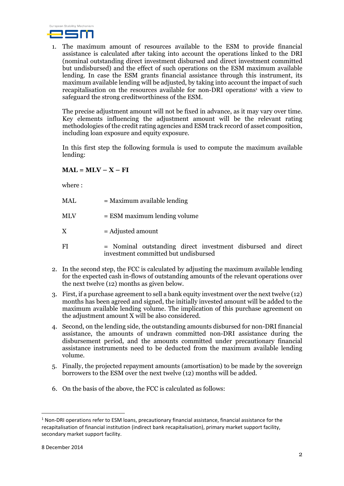

1. The maximum amount of resources available to the ESM to provide financial assistance is calculated after taking into account the operations linked to the DRI (nominal outstanding direct investment disbursed and direct investment committed but undisbursed) and the effect of such operations on the ESM maximum available lending. In case the ESM grants financial assistance through this instrument, its maximum available lending will be adjusted, by taking into account the impact of such recapitalisation on the resources available for non-DRI operations <sup>1</sup> with a view to safeguard the strong creditworthiness of the ESM.

The precise adjustment amount will not be fixed in advance, as it may vary over time. Key elements influencing the adjustment amount will be the relevant rating methodologies of the credit rating agencies and ESM track record of asset composition, including loan exposure and equity exposure.

In this first step the following formula is used to compute the maximum available lending:

## $ML = MLV - X - FI$

where :

|  | $=$ Maximum available lending |
|--|-------------------------------|

- MLV = ESM maximum lending volume
- $X =$ Adjusted amount
- FI = Nominal outstanding direct investment disbursed and direct investment committed but undisbursed
- 2. In the second step, the FCC is calculated by adjusting the maximum available lending for the expected cash in-flows of outstanding amounts of the relevant operations over the next twelve (12) months as given below.
- 3. First, if a purchase agreement to sell a bank equity investment over the next twelve (12) months has been agreed and signed, the initially invested amount will be added to the maximum available lending volume. The implication of this purchase agreement on the adjustment amount X will be also considered.
- 4. Second, on the lending side, the outstanding amounts disbursed for non-DRI financial assistance, the amounts of undrawn committed non-DRI assistance during the disbursement period, and the amounts committed under precautionary financial assistance instruments need to be deducted from the maximum available lending volume.
- 5. Finally, the projected repayment amounts (amortisation) to be made by the sovereign borrowers to the ESM over the next twelve (12) months will be added.
- 6. On the basis of the above, the FCC is calculated as follows:

**.** 

 $1$  Non-DRI operations refer to ESM loans, precautionary financial assistance, financial assistance for the recapitalisation of financial institution (indirect bank recapitalisation), primary market support facility, secondary market support facility.